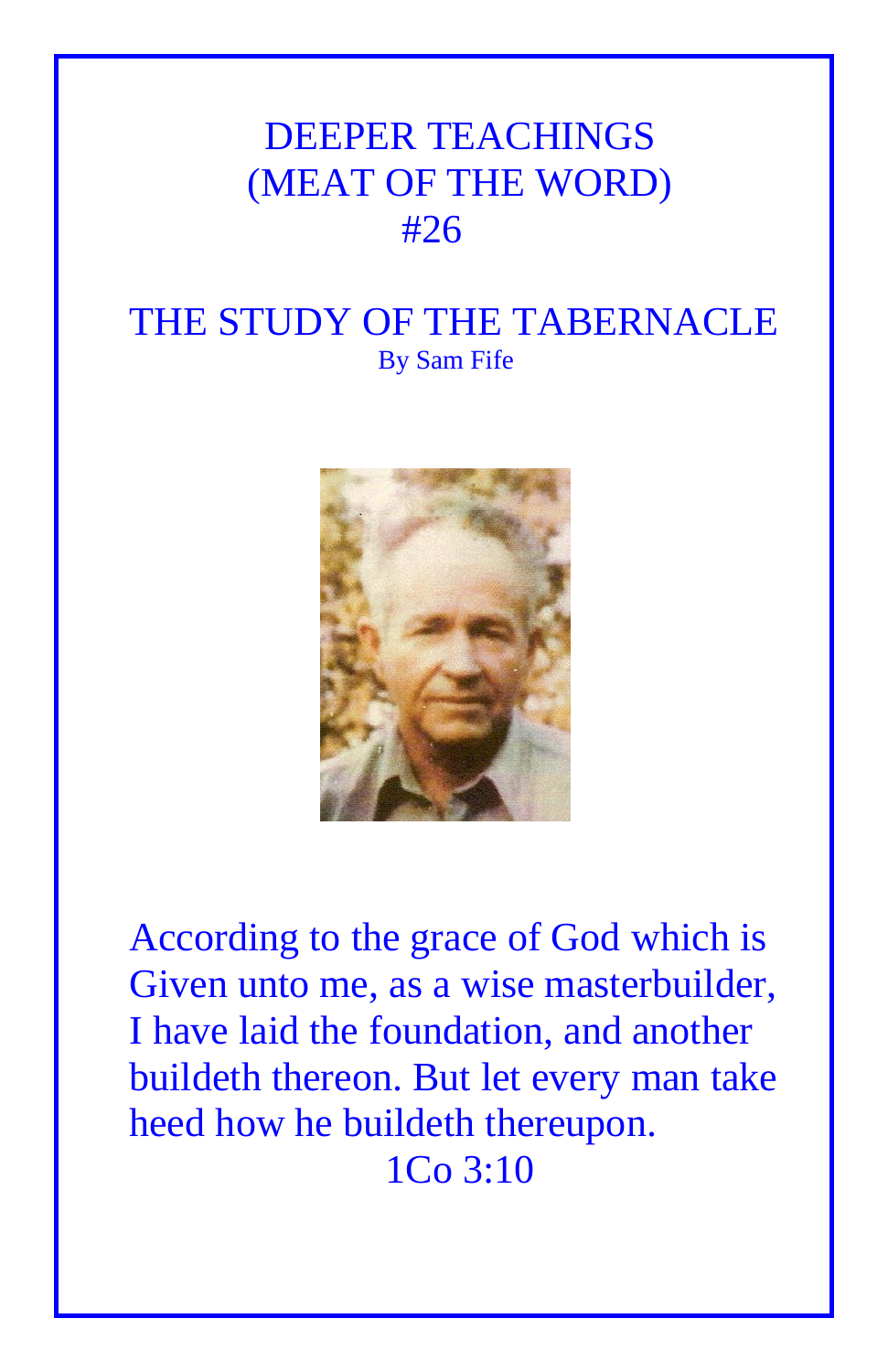## DEEPER TEACHINGS (MEAT OF THE WORD) #26

## THE STUDY OF THE TABERNACLE By Sam Fife



According to the grace of God which is Given unto me, as a wise masterbuilder, I have laid the foundation, and another buildeth thereon. But let every man take heed how he buildeth thereupon. 1Co 3:10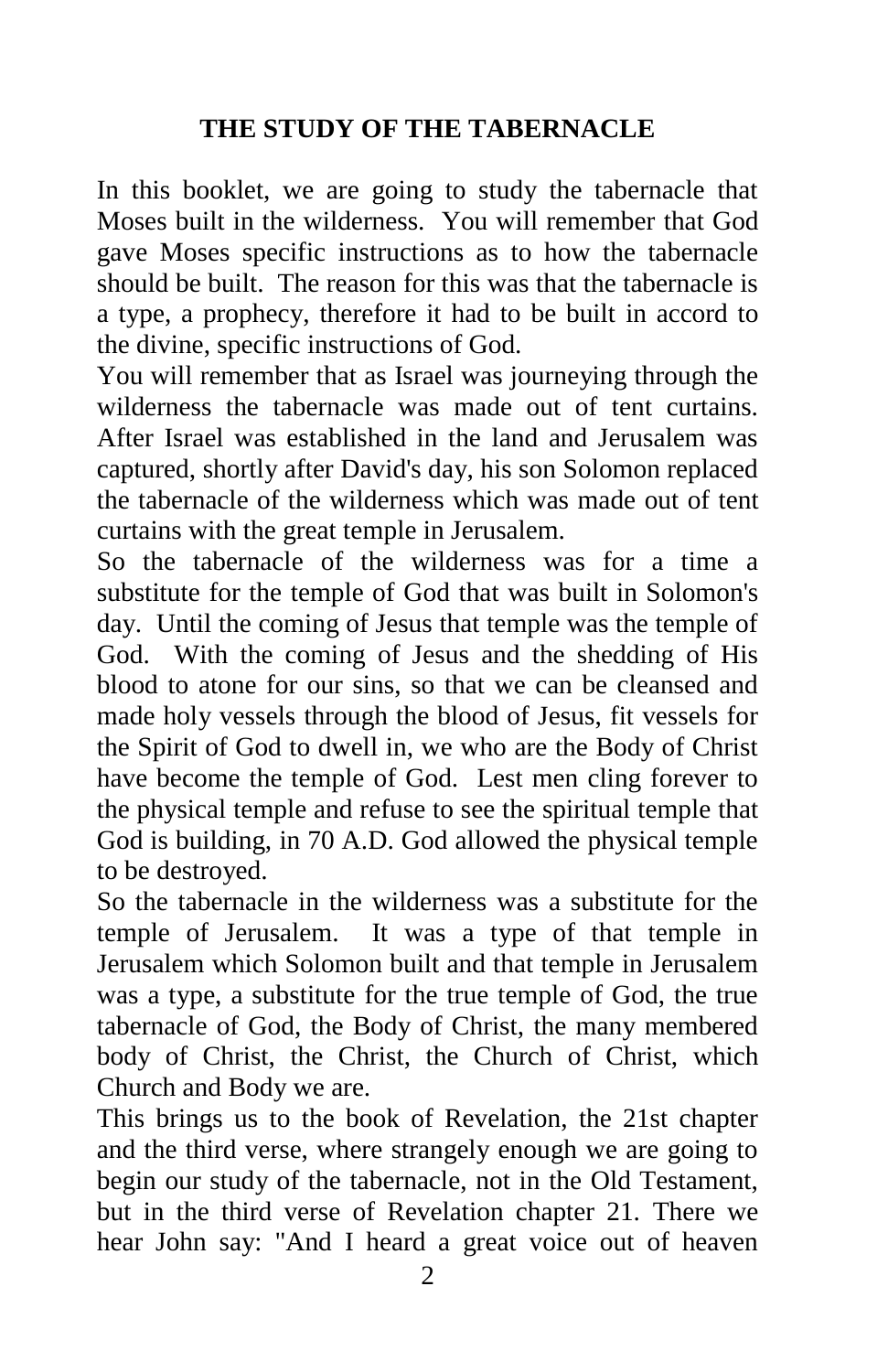## **THE STUDY OF THE TABERNACLE**

In this booklet, we are going to study the tabernacle that Moses built in the wilderness. You will remember that God gave Moses specific instructions as to how the tabernacle should be built. The reason for this was that the tabernacle is a type, a prophecy, therefore it had to be built in accord to the divine, specific instructions of God.

You will remember that as Israel was journeying through the wilderness the tabernacle was made out of tent curtains. After Israel was established in the land and Jerusalem was captured, shortly after David's day, his son Solomon replaced the tabernacle of the wilderness which was made out of tent curtains with the great temple in Jerusalem.

So the tabernacle of the wilderness was for a time a substitute for the temple of God that was built in Solomon's day. Until the coming of Jesus that temple was the temple of God. With the coming of Jesus and the shedding of His blood to atone for our sins, so that we can be cleansed and made holy vessels through the blood of Jesus, fit vessels for the Spirit of God to dwell in, we who are the Body of Christ have become the temple of God. Lest men cling forever to the physical temple and refuse to see the spiritual temple that God is building, in 70 A.D. God allowed the physical temple to be destroyed.

So the tabernacle in the wilderness was a substitute for the temple of Jerusalem. It was a type of that temple in Jerusalem which Solomon built and that temple in Jerusalem was a type, a substitute for the true temple of God, the true tabernacle of God, the Body of Christ, the many membered body of Christ, the Christ, the Church of Christ, which Church and Body we are.

This brings us to the book of Revelation, the 21st chapter and the third verse, where strangely enough we are going to begin our study of the tabernacle, not in the Old Testament, but in the third verse of Revelation chapter 21. There we hear John say: "And I heard a great voice out of heaven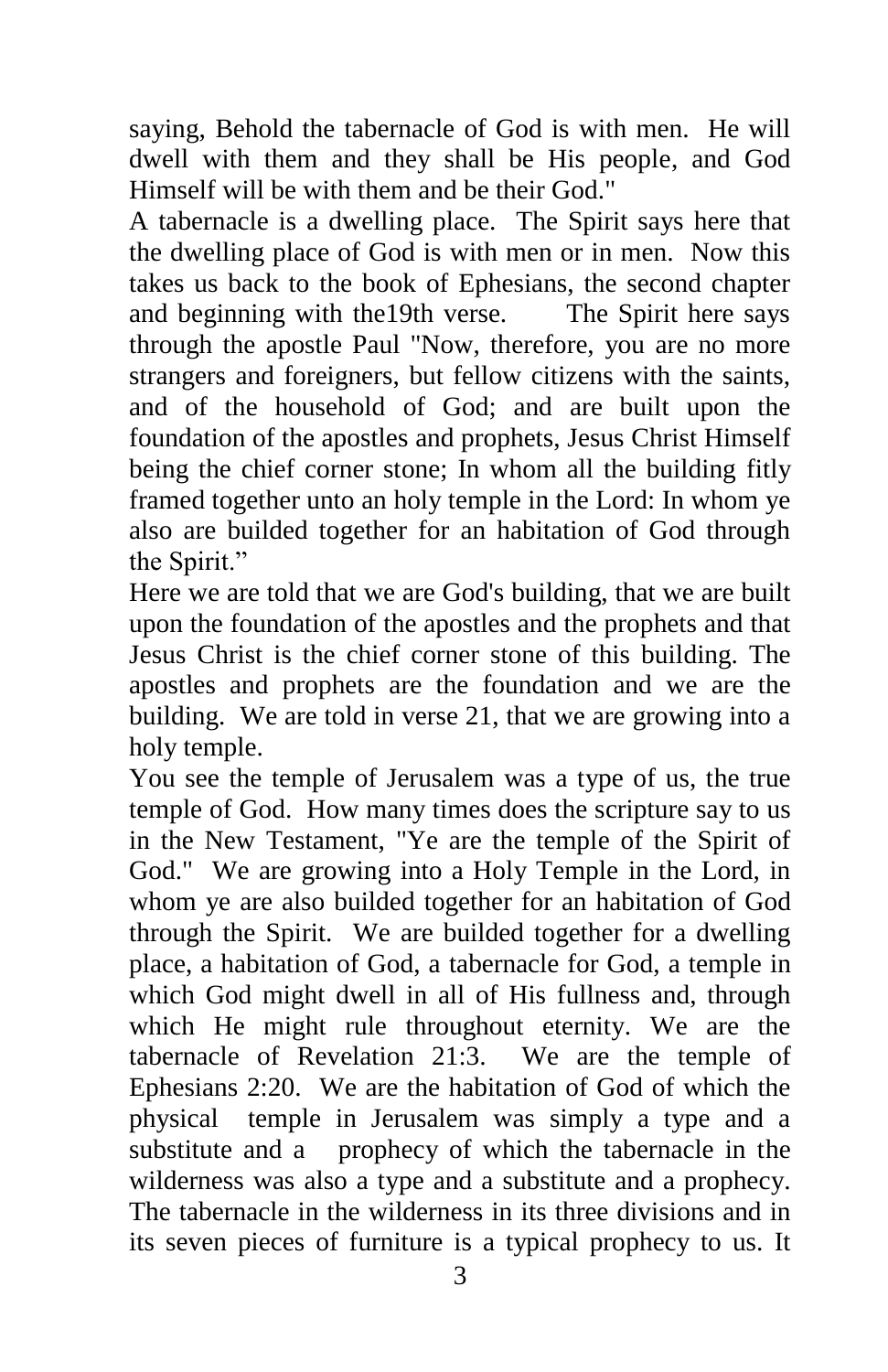saying, Behold the tabernacle of God is with men. He will dwell with them and they shall be His people, and God Himself will be with them and be their God."

A tabernacle is a dwelling place. The Spirit says here that the dwelling place of God is with men or in men. Now this takes us back to the book of Ephesians, the second chapter and beginning with the19th verse. The Spirit here says through the apostle Paul "Now, therefore, you are no more strangers and foreigners, but fellow citizens with the saints, and of the household of God; and are built upon the foundation of the apostles and prophets, Jesus Christ Himself being the chief corner stone; In whom all the building fitly framed together unto an holy temple in the Lord: In whom ye also are builded together for an habitation of God through the Spirit."

Here we are told that we are God's building, that we are built upon the foundation of the apostles and the prophets and that Jesus Christ is the chief corner stone of this building. The apostles and prophets are the foundation and we are the building. We are told in verse 21, that we are growing into a holy temple.

You see the temple of Jerusalem was a type of us, the true temple of God. How many times does the scripture say to us in the New Testament, "Ye are the temple of the Spirit of God." We are growing into a Holy Temple in the Lord, in whom ye are also builded together for an habitation of God through the Spirit. We are builded together for a dwelling place, a habitation of God, a tabernacle for God, a temple in which God might dwell in all of His fullness and, through which He might rule throughout eternity. We are the tabernacle of Revelation 21:3. We are the temple of Ephesians 2:20. We are the habitation of God of which the physical temple in Jerusalem was simply a type and a substitute and a prophecy of which the tabernacle in the wilderness was also a type and a substitute and a prophecy. The tabernacle in the wilderness in its three divisions and in its seven pieces of furniture is a typical prophecy to us. It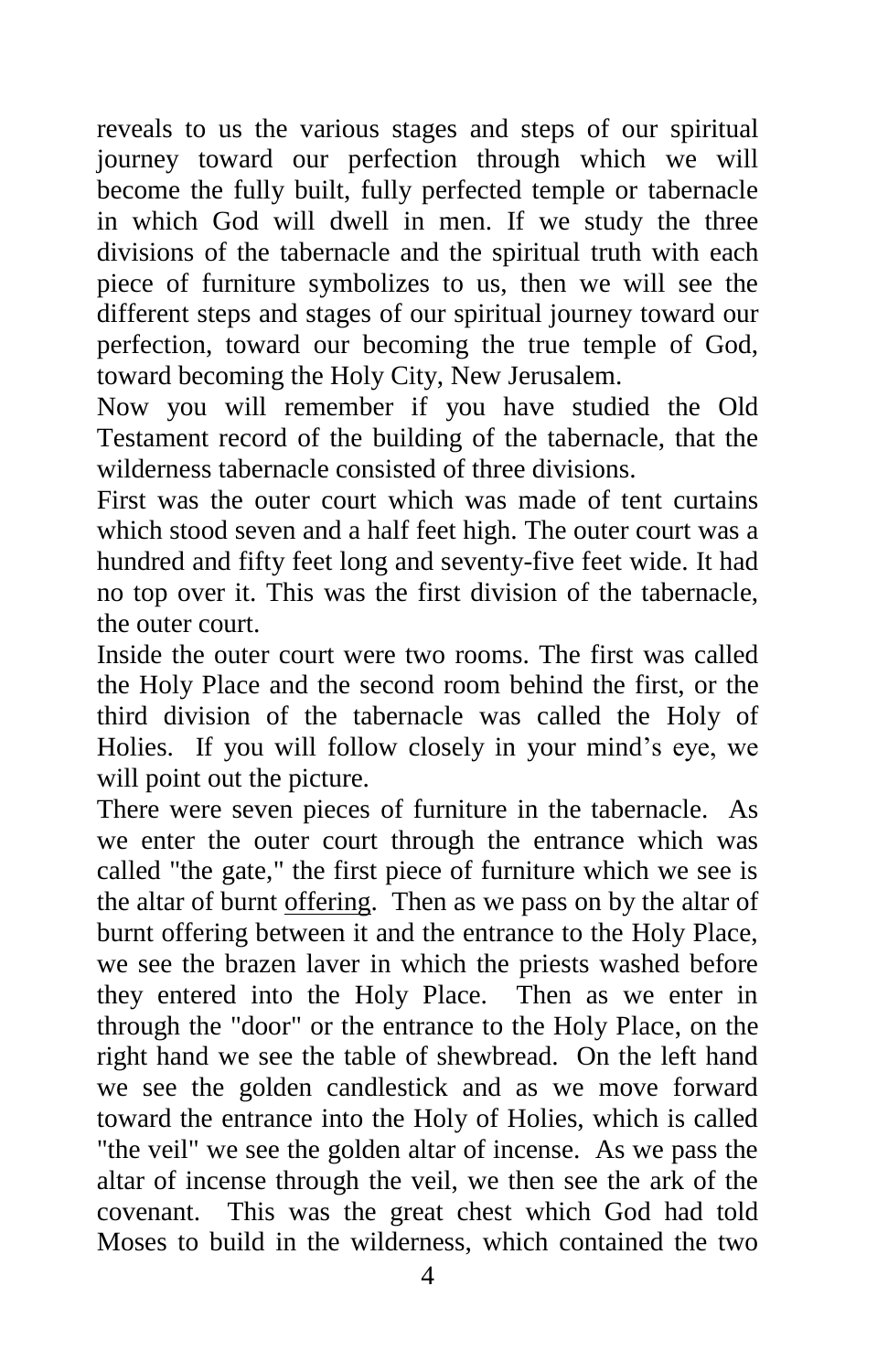reveals to us the various stages and steps of our spiritual journey toward our perfection through which we will become the fully built, fully perfected temple or tabernacle in which God will dwell in men. If we study the three divisions of the tabernacle and the spiritual truth with each piece of furniture symbolizes to us, then we will see the different steps and stages of our spiritual journey toward our perfection, toward our becoming the true temple of God, toward becoming the Holy City, New Jerusalem.

Now you will remember if you have studied the Old Testament record of the building of the tabernacle, that the wilderness tabernacle consisted of three divisions.

First was the outer court which was made of tent curtains which stood seven and a half feet high. The outer court was a hundred and fifty feet long and seventy-five feet wide. It had no top over it. This was the first division of the tabernacle, the outer court.

Inside the outer court were two rooms. The first was called the Holy Place and the second room behind the first, or the third division of the tabernacle was called the Holy of Holies. If you will follow closely in your mind's eye, we will point out the picture.

There were seven pieces of furniture in the tabernacle. As we enter the outer court through the entrance which was called "the gate," the first piece of furniture which we see is the altar of burnt offering. Then as we pass on by the altar of burnt offering between it and the entrance to the Holy Place, we see the brazen laver in which the priests washed before they entered into the Holy Place. Then as we enter in through the "door" or the entrance to the Holy Place, on the right hand we see the table of shewbread. On the left hand we see the golden candlestick and as we move forward toward the entrance into the Holy of Holies, which is called "the veil" we see the golden altar of incense. As we pass the altar of incense through the veil, we then see the ark of the covenant. This was the great chest which God had told Moses to build in the wilderness, which contained the two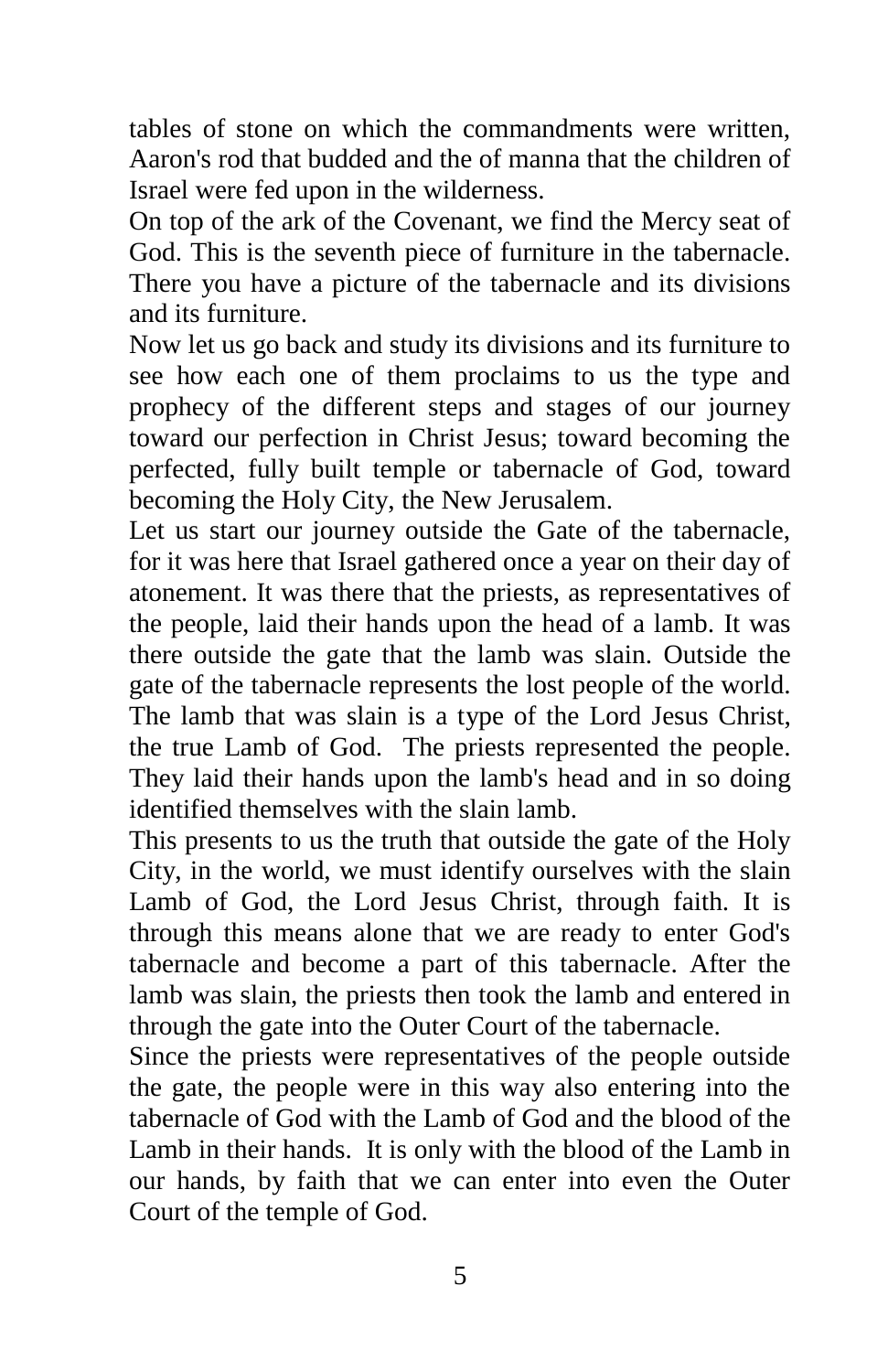tables of stone on which the commandments were written, Aaron's rod that budded and the of manna that the children of Israel were fed upon in the wilderness.

On top of the ark of the Covenant, we find the Mercy seat of God. This is the seventh piece of furniture in the tabernacle. There you have a picture of the tabernacle and its divisions and its furniture.

Now let us go back and study its divisions and its furniture to see how each one of them proclaims to us the type and prophecy of the different steps and stages of our journey toward our perfection in Christ Jesus; toward becoming the perfected, fully built temple or tabernacle of God, toward becoming the Holy City, the New Jerusalem.

Let us start our journey outside the Gate of the tabernacle, for it was here that Israel gathered once a year on their day of atonement. It was there that the priests, as representatives of the people, laid their hands upon the head of a lamb. It was there outside the gate that the lamb was slain. Outside the gate of the tabernacle represents the lost people of the world. The lamb that was slain is a type of the Lord Jesus Christ, the true Lamb of God. The priests represented the people. They laid their hands upon the lamb's head and in so doing identified themselves with the slain lamb.

This presents to us the truth that outside the gate of the Holy City, in the world, we must identify ourselves with the slain Lamb of God, the Lord Jesus Christ, through faith. It is through this means alone that we are ready to enter God's tabernacle and become a part of this tabernacle. After the lamb was slain, the priests then took the lamb and entered in through the gate into the Outer Court of the tabernacle.

Since the priests were representatives of the people outside the gate, the people were in this way also entering into the tabernacle of God with the Lamb of God and the blood of the Lamb in their hands. It is only with the blood of the Lamb in our hands, by faith that we can enter into even the Outer Court of the temple of God.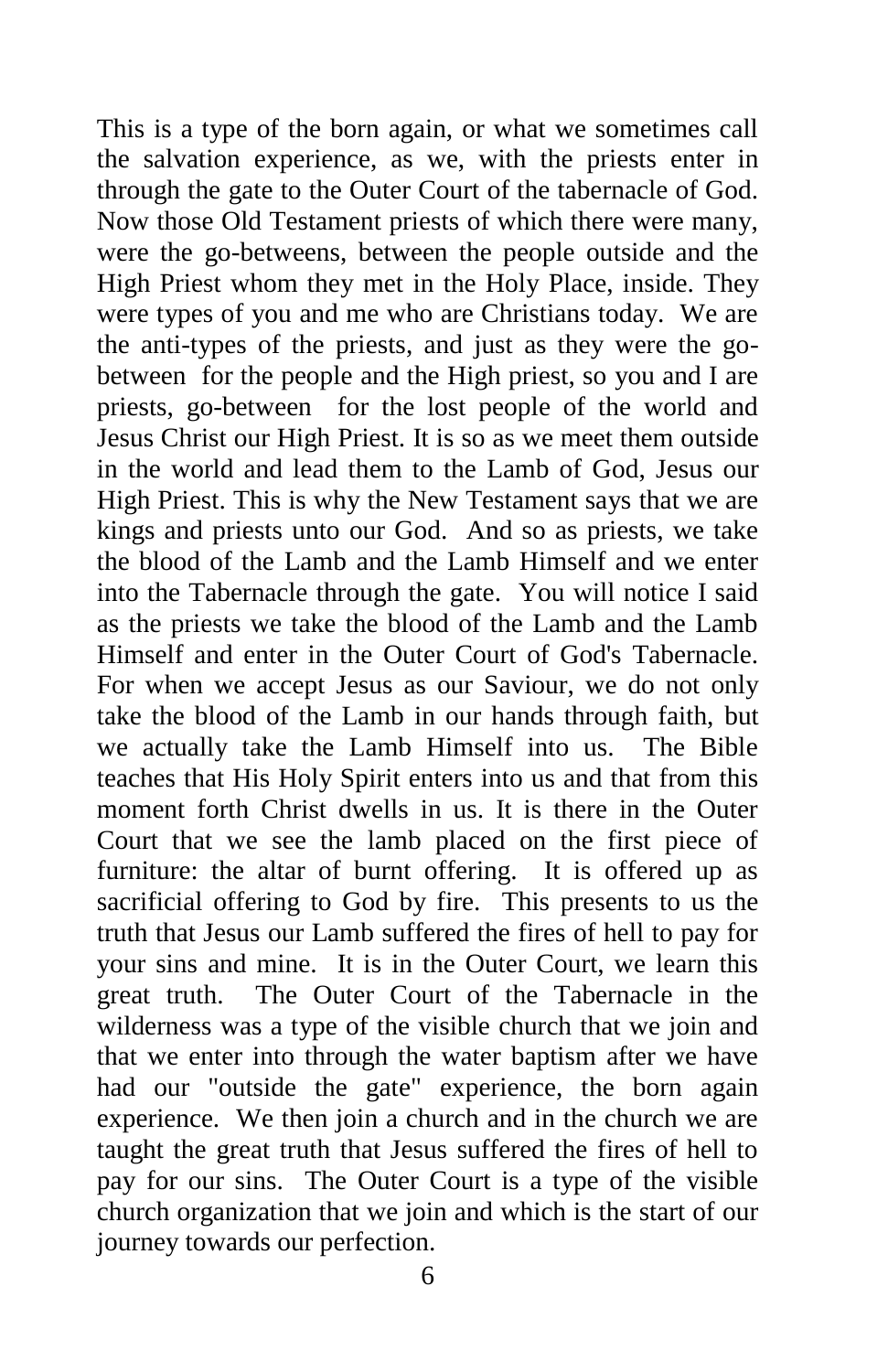This is a type of the born again, or what we sometimes call the salvation experience, as we, with the priests enter in through the gate to the Outer Court of the tabernacle of God. Now those Old Testament priests of which there were many, were the go-betweens, between the people outside and the High Priest whom they met in the Holy Place, inside. They were types of you and me who are Christians today. We are the anti-types of the priests, and just as they were the gobetween for the people and the High priest, so you and I are priests, go-between for the lost people of the world and Jesus Christ our High Priest. It is so as we meet them outside in the world and lead them to the Lamb of God, Jesus our High Priest. This is why the New Testament says that we are kings and priests unto our God. And so as priests, we take the blood of the Lamb and the Lamb Himself and we enter into the Tabernacle through the gate. You will notice I said as the priests we take the blood of the Lamb and the Lamb Himself and enter in the Outer Court of God's Tabernacle. For when we accept Jesus as our Saviour, we do not only take the blood of the Lamb in our hands through faith, but we actually take the Lamb Himself into us. The Bible teaches that His Holy Spirit enters into us and that from this moment forth Christ dwells in us. It is there in the Outer Court that we see the lamb placed on the first piece of furniture: the altar of burnt offering. It is offered up as sacrificial offering to God by fire. This presents to us the truth that Jesus our Lamb suffered the fires of hell to pay for your sins and mine. It is in the Outer Court, we learn this great truth. The Outer Court of the Tabernacle in the wilderness was a type of the visible church that we join and that we enter into through the water baptism after we have had our "outside the gate" experience, the born again experience. We then join a church and in the church we are taught the great truth that Jesus suffered the fires of hell to pay for our sins. The Outer Court is a type of the visible church organization that we join and which is the start of our journey towards our perfection.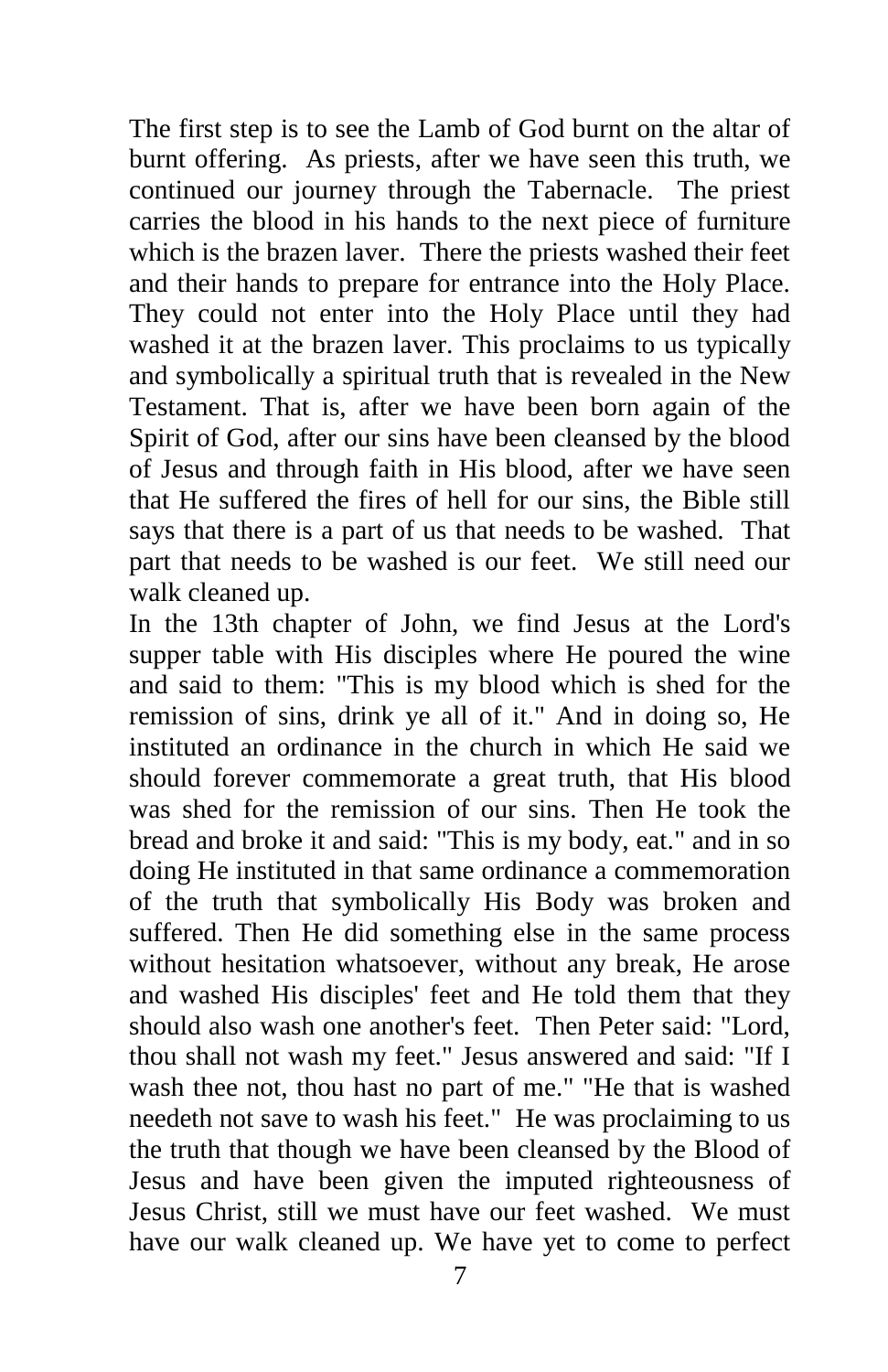The first step is to see the Lamb of God burnt on the altar of burnt offering. As priests, after we have seen this truth, we continued our journey through the Tabernacle. The priest carries the blood in his hands to the next piece of furniture which is the brazen laver. There the priests washed their feet and their hands to prepare for entrance into the Holy Place. They could not enter into the Holy Place until they had washed it at the brazen laver. This proclaims to us typically and symbolically a spiritual truth that is revealed in the New Testament. That is, after we have been born again of the Spirit of God, after our sins have been cleansed by the blood of Jesus and through faith in His blood, after we have seen that He suffered the fires of hell for our sins, the Bible still says that there is a part of us that needs to be washed. That part that needs to be washed is our feet. We still need our walk cleaned up.

In the 13th chapter of John, we find Jesus at the Lord's supper table with His disciples where He poured the wine and said to them: "This is my blood which is shed for the remission of sins, drink ye all of it." And in doing so, He instituted an ordinance in the church in which He said we should forever commemorate a great truth, that His blood was shed for the remission of our sins. Then He took the bread and broke it and said: "This is my body, eat." and in so doing He instituted in that same ordinance a commemoration of the truth that symbolically His Body was broken and suffered. Then He did something else in the same process without hesitation whatsoever, without any break, He arose and washed His disciples' feet and He told them that they should also wash one another's feet. Then Peter said: "Lord, thou shall not wash my feet." Jesus answered and said: "If I wash thee not, thou hast no part of me." "He that is washed needeth not save to wash his feet." He was proclaiming to us the truth that though we have been cleansed by the Blood of Jesus and have been given the imputed righteousness of Jesus Christ, still we must have our feet washed. We must have our walk cleaned up. We have yet to come to perfect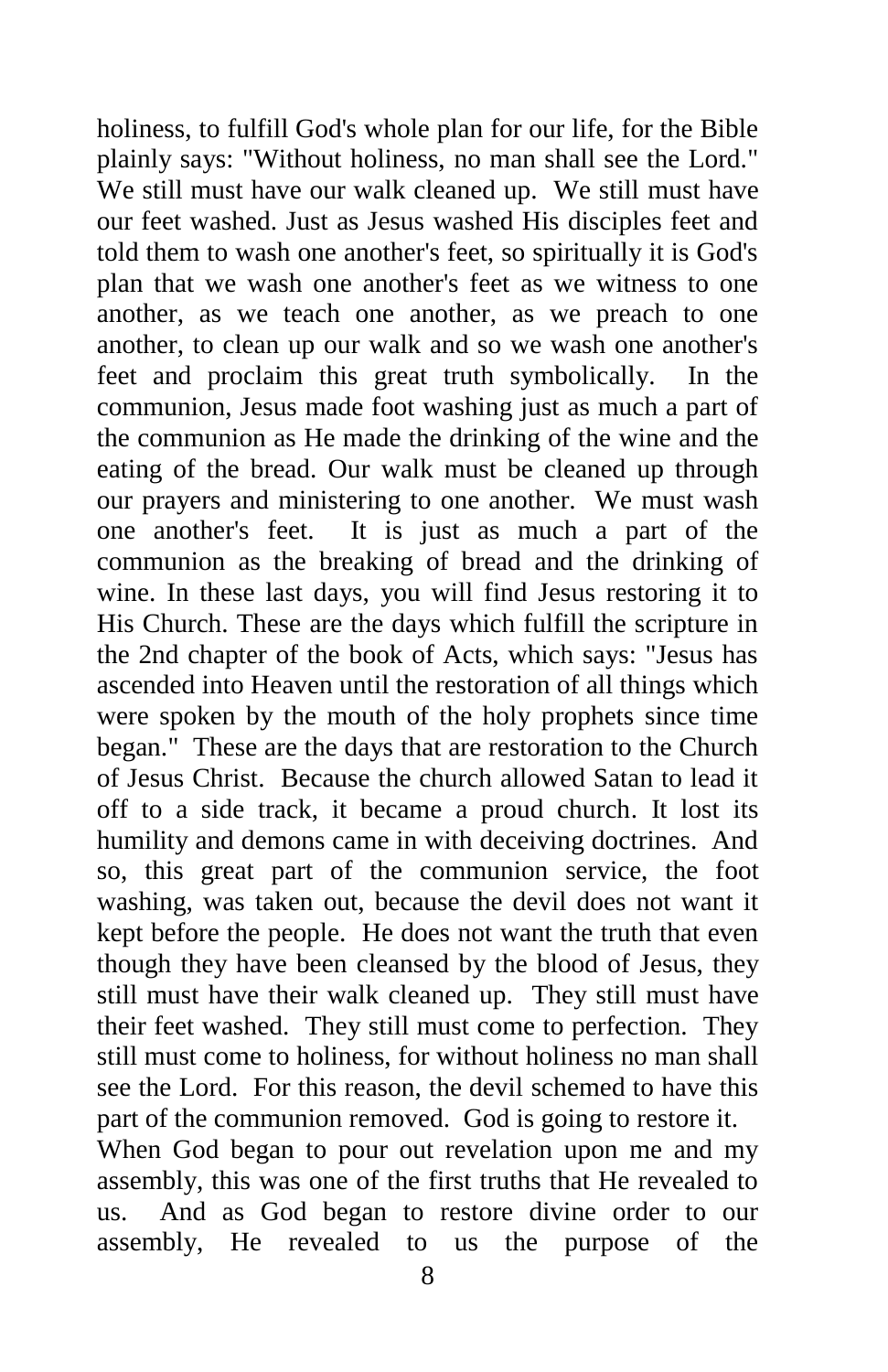holiness, to fulfill God's whole plan for our life, for the Bible plainly says: "Without holiness, no man shall see the Lord." We still must have our walk cleaned up. We still must have our feet washed. Just as Jesus washed His disciples feet and told them to wash one another's feet, so spiritually it is God's plan that we wash one another's feet as we witness to one another, as we teach one another, as we preach to one another, to clean up our walk and so we wash one another's feet and proclaim this great truth symbolically. In the communion, Jesus made foot washing just as much a part of the communion as He made the drinking of the wine and the eating of the bread. Our walk must be cleaned up through our prayers and ministering to one another. We must wash one another's feet. It is just as much a part of the communion as the breaking of bread and the drinking of wine. In these last days, you will find Jesus restoring it to His Church. These are the days which fulfill the scripture in the 2nd chapter of the book of Acts, which says: "Jesus has ascended into Heaven until the restoration of all things which were spoken by the mouth of the holy prophets since time began." These are the days that are restoration to the Church of Jesus Christ. Because the church allowed Satan to lead it off to a side track, it became a proud church. It lost its humility and demons came in with deceiving doctrines. And so, this great part of the communion service, the foot washing, was taken out, because the devil does not want it kept before the people. He does not want the truth that even though they have been cleansed by the blood of Jesus, they still must have their walk cleaned up. They still must have their feet washed. They still must come to perfection. They still must come to holiness, for without holiness no man shall see the Lord. For this reason, the devil schemed to have this part of the communion removed. God is going to restore it. When God began to pour out revelation upon me and my assembly, this was one of the first truths that He revealed to us. And as God began to restore divine order to our assembly, He revealed to us the purpose of the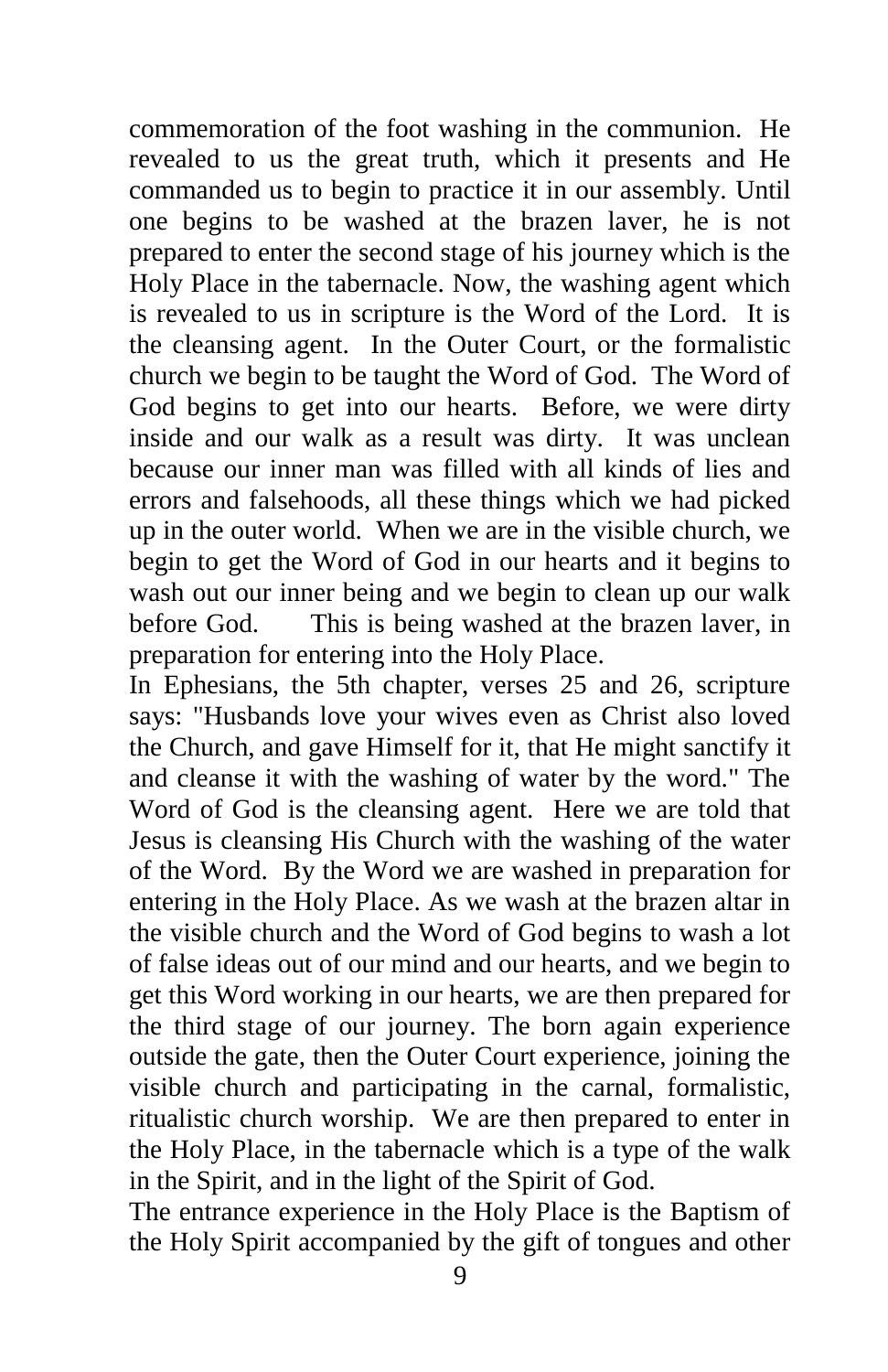commemoration of the foot washing in the communion. He revealed to us the great truth, which it presents and He commanded us to begin to practice it in our assembly. Until one begins to be washed at the brazen laver, he is not prepared to enter the second stage of his journey which is the Holy Place in the tabernacle. Now, the washing agent which is revealed to us in scripture is the Word of the Lord. It is the cleansing agent. In the Outer Court, or the formalistic church we begin to be taught the Word of God. The Word of God begins to get into our hearts. Before, we were dirty inside and our walk as a result was dirty. It was unclean because our inner man was filled with all kinds of lies and errors and falsehoods, all these things which we had picked up in the outer world. When we are in the visible church, we begin to get the Word of God in our hearts and it begins to wash out our inner being and we begin to clean up our walk before God. This is being washed at the brazen laver, in preparation for entering into the Holy Place.

In Ephesians, the 5th chapter, verses 25 and 26, scripture says: "Husbands love your wives even as Christ also loved the Church, and gave Himself for it, that He might sanctify it and cleanse it with the washing of water by the word." The Word of God is the cleansing agent. Here we are told that Jesus is cleansing His Church with the washing of the water of the Word. By the Word we are washed in preparation for entering in the Holy Place. As we wash at the brazen altar in the visible church and the Word of God begins to wash a lot of false ideas out of our mind and our hearts, and we begin to get this Word working in our hearts, we are then prepared for the third stage of our journey. The born again experience outside the gate, then the Outer Court experience, joining the visible church and participating in the carnal, formalistic, ritualistic church worship. We are then prepared to enter in the Holy Place, in the tabernacle which is a type of the walk in the Spirit, and in the light of the Spirit of God.

The entrance experience in the Holy Place is the Baptism of the Holy Spirit accompanied by the gift of tongues and other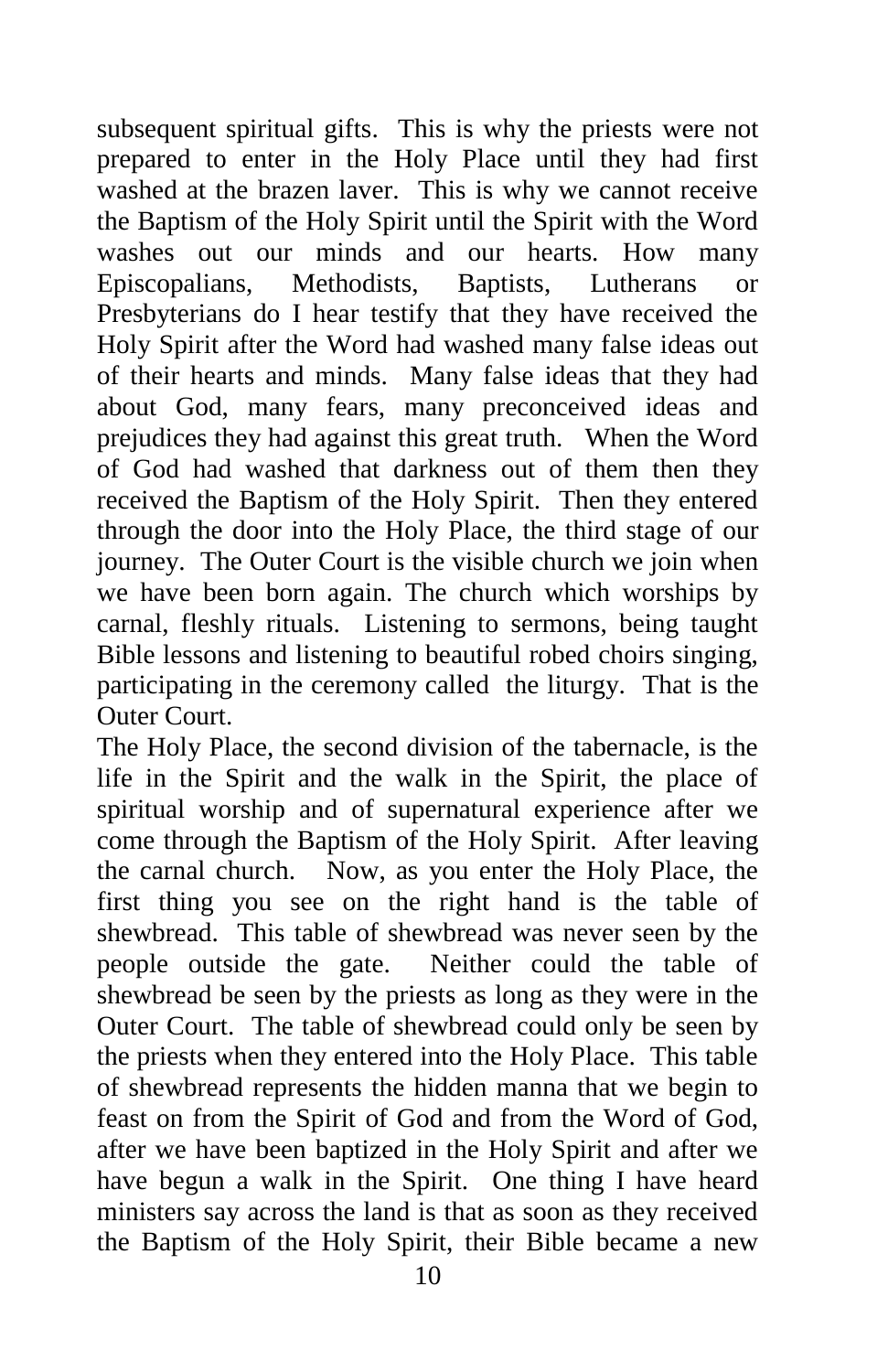subsequent spiritual gifts. This is why the priests were not prepared to enter in the Holy Place until they had first washed at the brazen laver. This is why we cannot receive the Baptism of the Holy Spirit until the Spirit with the Word washes out our minds and our hearts. How many Episcopalians, Methodists, Baptists, Lutherans or Presbyterians do I hear testify that they have received the Holy Spirit after the Word had washed many false ideas out of their hearts and minds. Many false ideas that they had about God, many fears, many preconceived ideas and prejudices they had against this great truth. When the Word of God had washed that darkness out of them then they received the Baptism of the Holy Spirit. Then they entered through the door into the Holy Place, the third stage of our journey. The Outer Court is the visible church we join when we have been born again. The church which worships by carnal, fleshly rituals. Listening to sermons, being taught Bible lessons and listening to beautiful robed choirs singing, participating in the ceremony called the liturgy. That is the Outer Court.

The Holy Place, the second division of the tabernacle, is the life in the Spirit and the walk in the Spirit, the place of spiritual worship and of supernatural experience after we come through the Baptism of the Holy Spirit. After leaving the carnal church. Now, as you enter the Holy Place, the first thing you see on the right hand is the table of shewbread. This table of shewbread was never seen by the people outside the gate. Neither could the table of shewbread be seen by the priests as long as they were in the Outer Court. The table of shewbread could only be seen by the priests when they entered into the Holy Place. This table of shewbread represents the hidden manna that we begin to feast on from the Spirit of God and from the Word of God, after we have been baptized in the Holy Spirit and after we have begun a walk in the Spirit. One thing I have heard ministers say across the land is that as soon as they received the Baptism of the Holy Spirit, their Bible became a new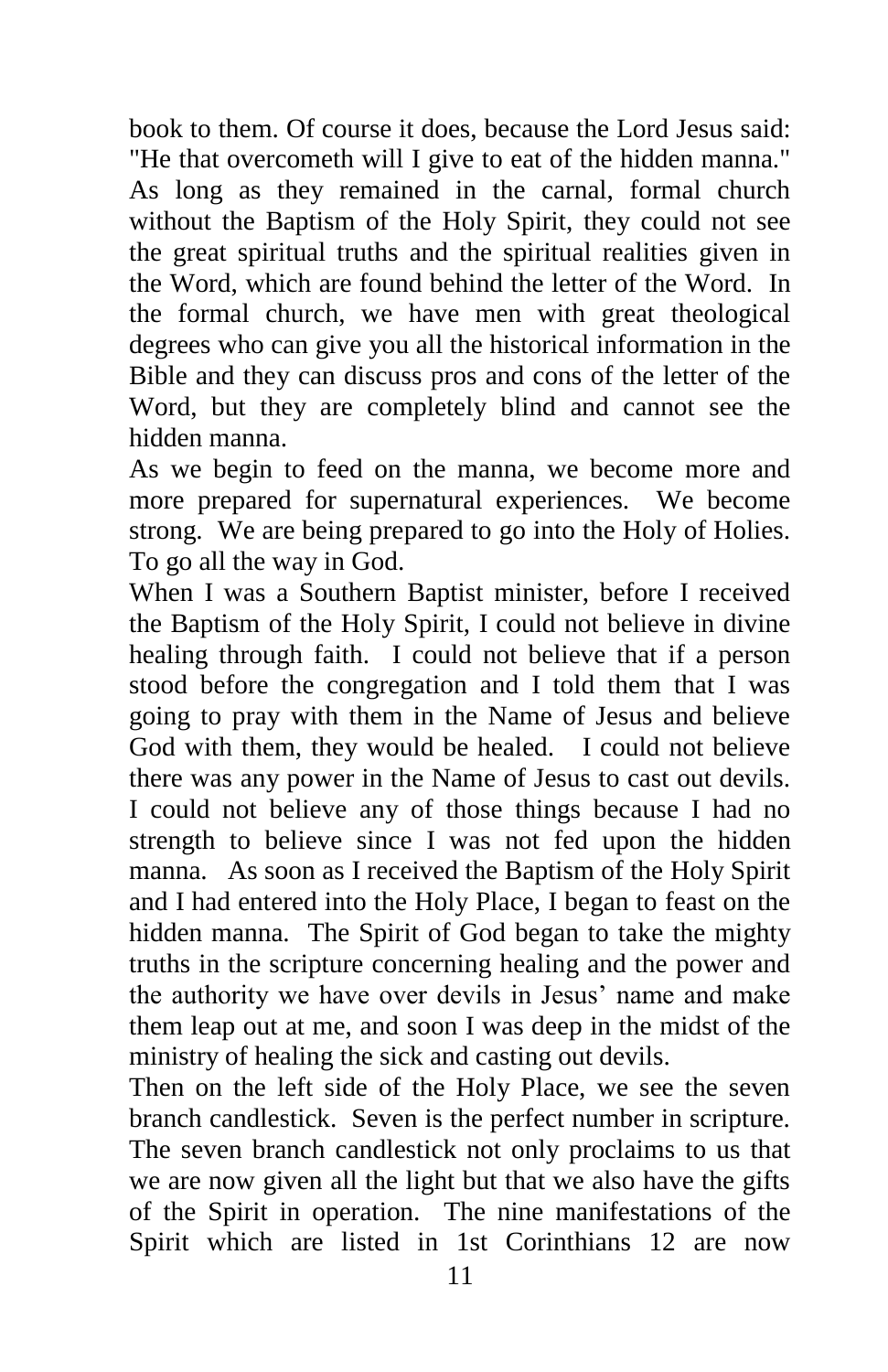book to them. Of course it does, because the Lord Jesus said: "He that overcometh will I give to eat of the hidden manna." As long as they remained in the carnal, formal church without the Baptism of the Holy Spirit, they could not see the great spiritual truths and the spiritual realities given in the Word, which are found behind the letter of the Word. In the formal church, we have men with great theological degrees who can give you all the historical information in the Bible and they can discuss pros and cons of the letter of the Word, but they are completely blind and cannot see the hidden manna.

As we begin to feed on the manna, we become more and more prepared for supernatural experiences. We become strong. We are being prepared to go into the Holy of Holies. To go all the way in God.

When I was a Southern Baptist minister, before I received the Baptism of the Holy Spirit, I could not believe in divine healing through faith. I could not believe that if a person stood before the congregation and I told them that I was going to pray with them in the Name of Jesus and believe God with them, they would be healed. I could not believe there was any power in the Name of Jesus to cast out devils. I could not believe any of those things because I had no strength to believe since I was not fed upon the hidden manna. As soon as I received the Baptism of the Holy Spirit and I had entered into the Holy Place, I began to feast on the hidden manna. The Spirit of God began to take the mighty truths in the scripture concerning healing and the power and the authority we have over devils in Jesus' name and make them leap out at me, and soon I was deep in the midst of the ministry of healing the sick and casting out devils.

Then on the left side of the Holy Place, we see the seven branch candlestick. Seven is the perfect number in scripture. The seven branch candlestick not only proclaims to us that we are now given all the light but that we also have the gifts of the Spirit in operation. The nine manifestations of the Spirit which are listed in 1st Corinthians 12 are now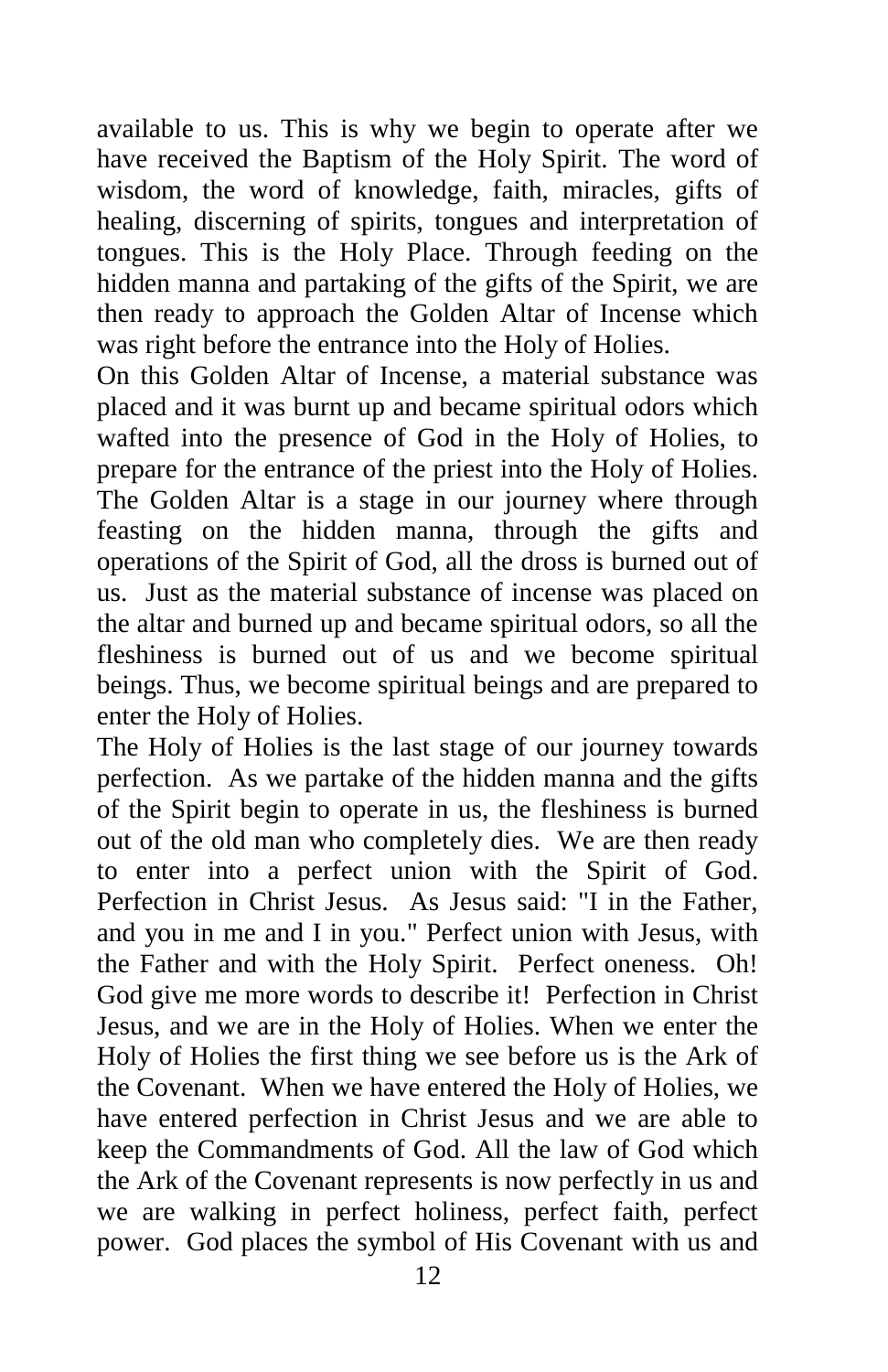available to us. This is why we begin to operate after we have received the Baptism of the Holy Spirit. The word of wisdom, the word of knowledge, faith, miracles, gifts of healing, discerning of spirits, tongues and interpretation of tongues. This is the Holy Place. Through feeding on the hidden manna and partaking of the gifts of the Spirit, we are then ready to approach the Golden Altar of Incense which was right before the entrance into the Holy of Holies.

On this Golden Altar of Incense, a material substance was placed and it was burnt up and became spiritual odors which wafted into the presence of God in the Holy of Holies, to prepare for the entrance of the priest into the Holy of Holies. The Golden Altar is a stage in our journey where through feasting on the hidden manna, through the gifts and operations of the Spirit of God, all the dross is burned out of us. Just as the material substance of incense was placed on the altar and burned up and became spiritual odors, so all the fleshiness is burned out of us and we become spiritual beings. Thus, we become spiritual beings and are prepared to enter the Holy of Holies.

The Holy of Holies is the last stage of our journey towards perfection. As we partake of the hidden manna and the gifts of the Spirit begin to operate in us, the fleshiness is burned out of the old man who completely dies. We are then ready to enter into a perfect union with the Spirit of God. Perfection in Christ Jesus. As Jesus said: "I in the Father, and you in me and I in you." Perfect union with Jesus, with the Father and with the Holy Spirit. Perfect oneness. Oh! God give me more words to describe it! Perfection in Christ Jesus, and we are in the Holy of Holies. When we enter the Holy of Holies the first thing we see before us is the Ark of the Covenant. When we have entered the Holy of Holies, we have entered perfection in Christ Jesus and we are able to keep the Commandments of God. All the law of God which the Ark of the Covenant represents is now perfectly in us and we are walking in perfect holiness, perfect faith, perfect power. God places the symbol of His Covenant with us and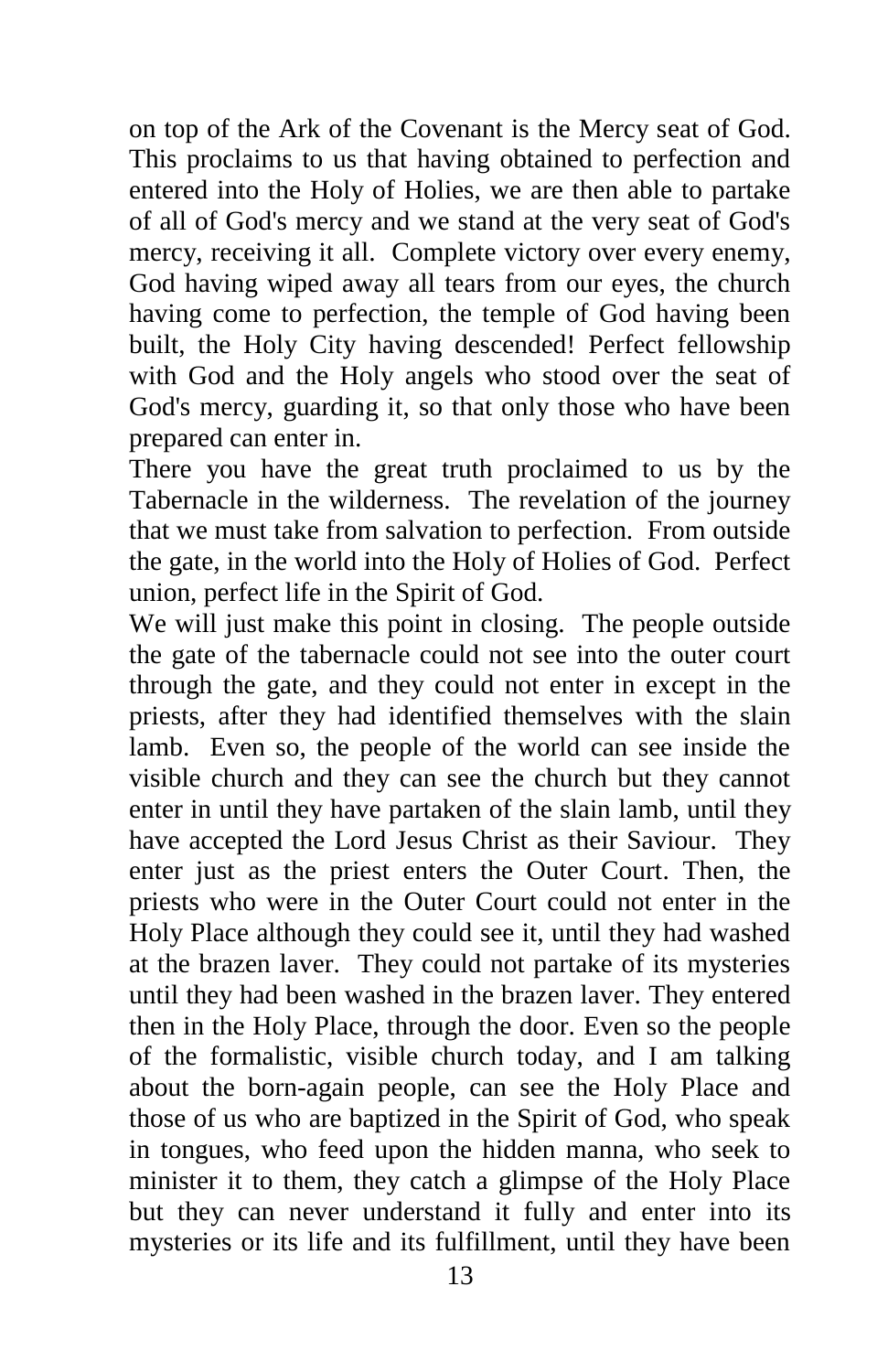on top of the Ark of the Covenant is the Mercy seat of God. This proclaims to us that having obtained to perfection and entered into the Holy of Holies, we are then able to partake of all of God's mercy and we stand at the very seat of God's mercy, receiving it all. Complete victory over every enemy, God having wiped away all tears from our eyes, the church having come to perfection, the temple of God having been built, the Holy City having descended! Perfect fellowship with God and the Holy angels who stood over the seat of God's mercy, guarding it, so that only those who have been prepared can enter in.

There you have the great truth proclaimed to us by the Tabernacle in the wilderness. The revelation of the journey that we must take from salvation to perfection. From outside the gate, in the world into the Holy of Holies of God. Perfect union, perfect life in the Spirit of God.

We will just make this point in closing. The people outside the gate of the tabernacle could not see into the outer court through the gate, and they could not enter in except in the priests, after they had identified themselves with the slain lamb. Even so, the people of the world can see inside the visible church and they can see the church but they cannot enter in until they have partaken of the slain lamb, until they have accepted the Lord Jesus Christ as their Saviour. They enter just as the priest enters the Outer Court. Then, the priests who were in the Outer Court could not enter in the Holy Place although they could see it, until they had washed at the brazen laver. They could not partake of its mysteries until they had been washed in the brazen laver. They entered then in the Holy Place, through the door. Even so the people of the formalistic, visible church today, and I am talking about the born-again people, can see the Holy Place and those of us who are baptized in the Spirit of God, who speak in tongues, who feed upon the hidden manna, who seek to minister it to them, they catch a glimpse of the Holy Place but they can never understand it fully and enter into its mysteries or its life and its fulfillment, until they have been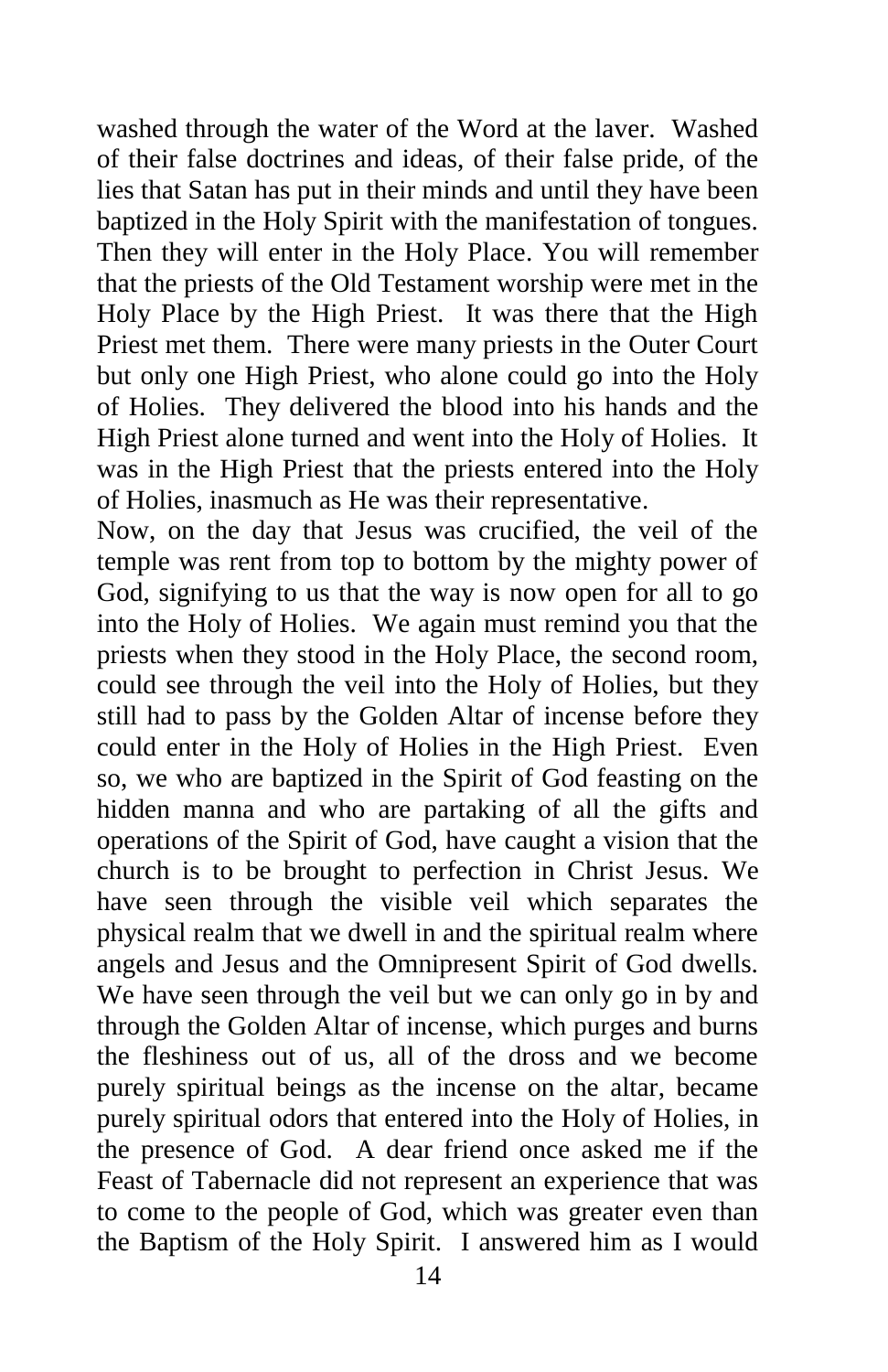washed through the water of the Word at the laver. Washed of their false doctrines and ideas, of their false pride, of the lies that Satan has put in their minds and until they have been baptized in the Holy Spirit with the manifestation of tongues. Then they will enter in the Holy Place. You will remember that the priests of the Old Testament worship were met in the Holy Place by the High Priest. It was there that the High Priest met them. There were many priests in the Outer Court but only one High Priest, who alone could go into the Holy of Holies. They delivered the blood into his hands and the High Priest alone turned and went into the Holy of Holies. It was in the High Priest that the priests entered into the Holy of Holies, inasmuch as He was their representative.

Now, on the day that Jesus was crucified, the veil of the temple was rent from top to bottom by the mighty power of God, signifying to us that the way is now open for all to go into the Holy of Holies. We again must remind you that the priests when they stood in the Holy Place, the second room, could see through the veil into the Holy of Holies, but they still had to pass by the Golden Altar of incense before they could enter in the Holy of Holies in the High Priest. Even so, we who are baptized in the Spirit of God feasting on the hidden manna and who are partaking of all the gifts and operations of the Spirit of God, have caught a vision that the church is to be brought to perfection in Christ Jesus. We have seen through the visible veil which separates the physical realm that we dwell in and the spiritual realm where angels and Jesus and the Omnipresent Spirit of God dwells. We have seen through the veil but we can only go in by and through the Golden Altar of incense, which purges and burns the fleshiness out of us, all of the dross and we become purely spiritual beings as the incense on the altar, became purely spiritual odors that entered into the Holy of Holies, in the presence of God. A dear friend once asked me if the Feast of Tabernacle did not represent an experience that was to come to the people of God, which was greater even than the Baptism of the Holy Spirit. I answered him as I would